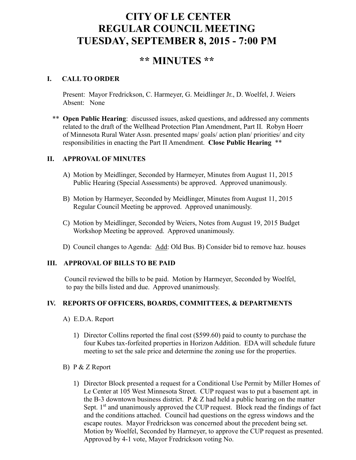# **CITY OF LE CENTER REGULAR COUNCIL MEETING TUESDAY, SEPTEMBER 8, 2015 - 7:00 PM**

## **\*\* MINUTES \*\***

## **I. CALL TO ORDER**

Present: Mayor Fredrickson, C. Harmeyer, G. Meidlinger Jr., D. Woelfel, J. Weiers Absent: None

\*\* **Open Public Hearing**: discussed issues, asked questions, and addressed any comments related to the draft of the Wellhead Protection Plan Amendment, Part II. Robyn Hoerr of Minnesota Rural Water Assn. presented maps/ goals/ action plan/ priorities/ and city responsibilities in enacting the Part II Amendment. **Close Public Hearing** \*\*

## **II. APPROVAL OF MINUTES**

- A) Motion by Meidlinger, Seconded by Harmeyer, Minutes from August 11, 2015 Public Hearing (Special Assessments) be approved. Approved unanimously.
- B) Motion by Harmeyer, Seconded by Meidlinger, Minutes from August 11, 2015 Regular Council Meeting be approved. Approved unanimously.
- C) Motion by Meidlinger, Seconded by Weiers, Notes from August 19, 2015 Budget Workshop Meeting be approved. Approved unanimously.
- D) Council changes to Agenda: Add: Old Bus. B) Consider bid to remove haz. houses

## **III. APPROVAL OF BILLS TO BE PAID**

Council reviewed the bills to be paid. Motion by Harmeyer, Seconded by Woelfel, to pay the bills listed and due. Approved unanimously.

## **IV. REPORTS OF OFFICERS, BOARDS, COMMITTEES, & DEPARTMENTS**

- A) E.D.A. Report
	- 1) Director Collins reported the final cost (\$599.60) paid to county to purchase the four Kubes tax-forfeited properties in Horizon Addition. EDA will schedule future meeting to set the sale price and determine the zoning use for the properties.

#### B) P & Z Report

1) Director Block presented a request for a Conditional Use Permit by Miller Homes of Le Center at 105 West Minnesota Street. CUP request was to put a basement apt. in the B-3 downtown business district. P  $&Z$  had held a public hearing on the matter Sept.  $1<sup>st</sup>$  and unanimously approved the CUP request. Block read the findings of fact and the conditions attached. Council had questions on the egress windows and the escape routes. Mayor Fredrickson was concerned about the precedent being set. Motion by Woelfel, Seconded by Harmeyer, to approve the CUP request as presented. Approved by 4-1 vote, Mayor Fredrickson voting No.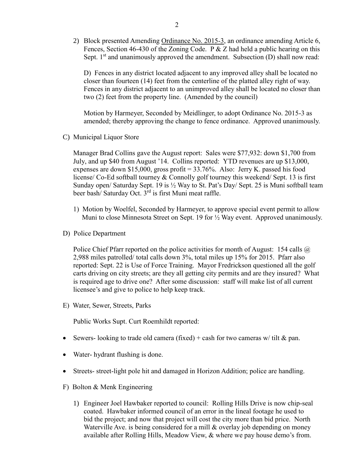2) Block presented Amending Ordinance No. 2015-3, an ordinance amending Article 6, Fences, Section 46-430 of the Zoning Code. P & Z had held a public hearing on this Sept.  $1<sup>st</sup>$  and unanimously approved the amendment. Subsection (D) shall now read:

D) Fences in any district located adjacent to any improved alley shall be located no closer than fourteen (14) feet from the centerline of the platted alley right of way. Fences in any district adjacent to an unimproved alley shall be located no closer than two (2) feet from the property line. (Amended by the council)

Motion by Harmeyer, Seconded by Meidlinger, to adopt Ordinance No. 2015-3 as amended; thereby approving the change to fence ordinance. Approved unanimously.

C) Municipal Liquor Store

Manager Brad Collins gave the August report: Sales were \$77,932: down \$1,700 from July, and up \$40 from August '14. Collins reported: YTD revenues are up \$13,000, expenses are down \$15,000, gross profit = 33.76%. Also: Jerry K. passed his food license/ Co-Ed softball tourney & Connolly golf tourney this weekend/ Sept. 13 is first Sunday open/ Saturday Sept. 19 is ½ Way to St. Pat's Day/ Sept. 25 is Muni softball team beer bash/ Saturday Oct. 3<sup>rd</sup> is first Muni meat raffle.

- 1) Motion by Woelfel, Seconded by Harmeyer, to approve special event permit to allow Muni to close Minnesota Street on Sept. 19 for ½ Way event. Approved unanimously.
- D) Police Department

Police Chief Pfarr reported on the police activities for month of August: 154 calls @ 2,988 miles patrolled/ total calls down 3%, total miles up 15% for 2015. Pfarr also reported: Sept. 22 is Use of Force Training. Mayor Fredrickson questioned all the golf carts driving on city streets; are they all getting city permits and are they insured? What is required age to drive one? After some discussion: staff will make list of all current licensee's and give to police to help keep track.

E) Water, Sewer, Streets, Parks

Public Works Supt. Curt Roemhildt reported:

- Sewers- looking to trade old camera (fixed) + cash for two cameras w/ tilt & pan.
- Water- hydrant flushing is done.
- Streets- street-light pole hit and damaged in Horizon Addition; police are handling.
- F) Bolton & Menk Engineering
	- 1) Engineer Joel Hawbaker reported to council: Rolling Hills Drive is now chip-seal coated. Hawbaker informed council of an error in the lineal footage he used to bid the project; and now that project will cost the city more than bid price. North Waterville Ave. is being considered for a mill  $\&$  overlay job depending on money available after Rolling Hills, Meadow View, & where we pay house demo's from.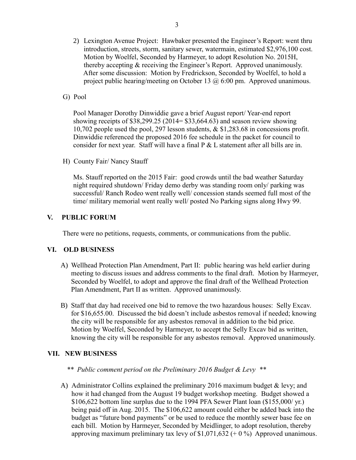- 2) Lexington Avenue Project: Hawbaker presented the Engineer's Report: went thru introduction, streets, storm, sanitary sewer, watermain, estimated \$2,976,100 cost. Motion by Woelfel, Seconded by Harmeyer, to adopt Resolution No. 2015H, thereby accepting & receiving the Engineer's Report. Approved unanimously. After some discussion: Motion by Fredrickson, Seconded by Woelfel, to hold a project public hearing/meeting on October 13 @ 6:00 pm. Approved unanimous.
- G) Pool

 Pool Manager Dorothy Dinwiddie gave a brief August report/ Year-end report showing receipts of \$38,299.25 (2014= \$33,664.63) and season review showing 10,702 people used the pool, 297 lesson students, & \$1,283.68 in concessions profit. Dinwiddie referenced the proposed 2016 fee schedule in the packet for council to consider for next year. Staff will have a final  $P \& L$  statement after all bills are in.

H) County Fair/ Nancy Stauff

 Ms. Stauff reported on the 2015 Fair: good crowds until the bad weather Saturday night required shutdown/ Friday demo derby was standing room only/ parking was successful/ Ranch Rodeo went really well/ concession stands seemed full most of the time/ military memorial went really well/ posted No Parking signs along Hwy 99.

## **V. PUBLIC FORUM**

There were no petitions, requests, comments, or communications from the public.

### **VI. OLD BUSINESS**

- A) Wellhead Protection Plan Amendment, Part II: public hearing was held earlier during meeting to discuss issues and address comments to the final draft. Motion by Harmeyer, Seconded by Woelfel, to adopt and approve the final draft of the Wellhead Protection Plan Amendment, Part II as written. Approved unanimously.
- B) Staff that day had received one bid to remove the two hazardous houses: Selly Excav. for \$16,655.00. Discussed the bid doesn't include asbestos removal if needed; knowing the city will be responsible for any asbestos removal in addition to the bid price. Motion by Woelfel, Seconded by Harmeyer, to accept the Selly Excav bid as written, knowing the city will be responsible for any asbestos removal. Approved unanimously.

#### **VII. NEW BUSINESS**

#### *\*\* Public comment period on the Preliminary 2016 Budget & Levy \*\**

A) Administrator Collins explained the preliminary 2016 maximum budget & levy; and how it had changed from the August 19 budget workshop meeting. Budget showed a \$106,622 bottom line surplus due to the 1994 PFA Sewer Plant loan (\$155,000/ yr.) being paid off in Aug. 2015. The \$106,622 amount could either be added back into the budget as "future bond payments" or be used to reduce the monthly sewer base fee on each bill. Motion by Harmeyer, Seconded by Meidlinger, to adopt resolution, thereby approving maximum preliminary tax levy of \$1,071,632 (+ 0 %) Approved unanimous.